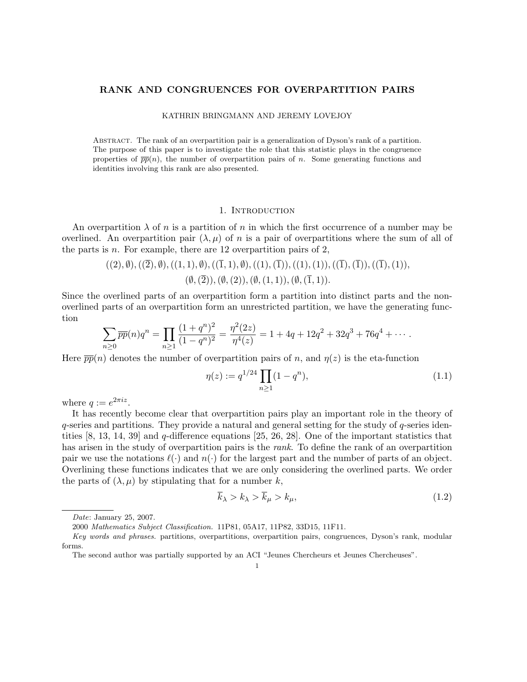# RANK AND CONGRUENCES FOR OVERPARTITION PAIRS

## KATHRIN BRINGMANN AND JEREMY LOVEJOY

Abstract. The rank of an overpartition pair is a generalization of Dyson's rank of a partition. The purpose of this paper is to investigate the role that this statistic plays in the congruence properties of  $\overline{pp}(n)$ , the number of overpartition pairs of n. Some generating functions and identities involving this rank are also presented.

# 1. INTRODUCTION

An overpartition  $\lambda$  of n is a partition of n in which the first occurrence of a number may be overlined. An overpartition pair  $(\lambda, \mu)$  of n is a pair of overpartitions where the sum of all of the parts is *n*. For example, there are 12 overpartition pairs of 2,

$$
((2), \emptyset), ((\overline{2}), \emptyset), ((1, 1), \emptyset), ((\overline{1}, 1), \emptyset), ((1), (\overline{1})), ((1), (1)), ((\overline{1}), (\overline{1})), ((\overline{1}), (1)), ((\emptyset, (\overline{2})), (\emptyset, (2)), (\emptyset, (1, 1)), (\emptyset, (\overline{1}, 1)).
$$

Since the overlined parts of an overpartition form a partition into distinct parts and the nonoverlined parts of an overpartition form an unrestricted partition, we have the generating function

$$
\sum_{n\geq 0} \overline{pp}(n)q^n = \prod_{n\geq 1} \frac{(1+q^n)^2}{(1-q^n)^2} = \frac{\eta^2(2z)}{\eta^4(z)} = 1 + 4q + 12q^2 + 32q^3 + 76q^4 + \cdots
$$

Here  $\overline{pp}(n)$  denotes the number of overpartition pairs of n, and  $\eta(z)$  is the eta-function

$$
\eta(z) := q^{1/24} \prod_{n \ge 1} (1 - q^n),\tag{1.1}
$$

where  $q := e^{2\pi i z}$ .

It has recently become clear that overpartition pairs play an important role in the theory of  $q$ -series and partitions. They provide a natural and general setting for the study of  $q$ -series identities  $[8, 13, 14, 39]$  and q-difference equations  $[25, 26, 28]$ . One of the important statistics that has arisen in the study of overpartition pairs is the *rank*. To define the rank of an overpartition pair we use the notations  $\ell(\cdot)$  and  $n(\cdot)$  for the largest part and the number of parts of an object. Overlining these functions indicates that we are only considering the overlined parts. We order the parts of  $(\lambda, \mu)$  by stipulating that for a number k,

$$
\overline{k}_{\lambda} > k_{\lambda} > \overline{k}_{\mu} > k_{\mu},\tag{1.2}
$$

Date: January 25, 2007.

<sup>2000</sup> Mathematics Subject Classification. 11P81, 05A17, 11P82, 33D15, 11F11.

Key words and phrases. partitions, overpartitions, overpartition pairs, congruences, Dyson's rank, modular forms.

The second author was partially supported by an ACI "Jeunes Chercheurs et Jeunes Chercheuses".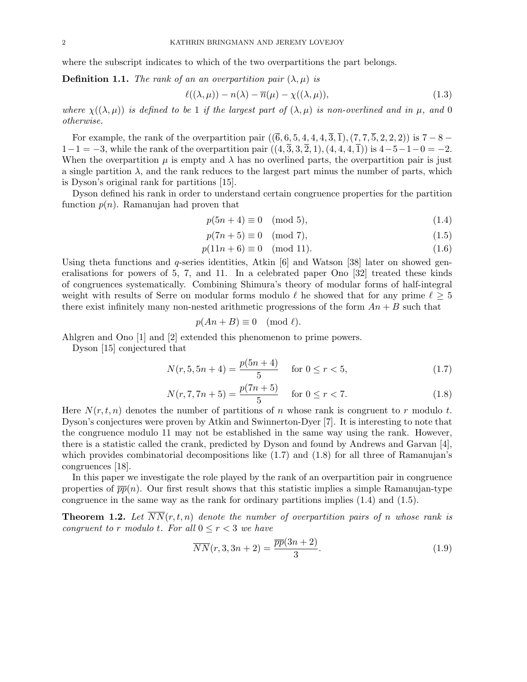where the subscript indicates to which of the two overpartitions the part belongs.

**Definition 1.1.** The rank of an an overpartition pair  $(\lambda, \mu)$  is

$$
\ell((\lambda,\mu)) - n(\lambda) - \overline{n}(\mu) - \chi((\lambda,\mu)),\tag{1.3}
$$

where  $\chi((\lambda,\mu))$  is defined to be 1 if the largest part of  $(\lambda,\mu)$  is non-overlined and in  $\mu$ , and 0 otherwise.

For example, the rank of the overpartition pair  $((\bar{6}, 6, 5, 4, 4, 4, \bar{3}, \bar{1}), (7, 7, \bar{5}, 2, 2, 2))$  is  $7 - 8 1-1=-3$ , while the rank of the overpartition pair  $((4, \overline{3}, 3, \overline{2}, 1), (4, 4, 4, \overline{1}))$  is  $4-5-1-0=-2$ . When the overpartition  $\mu$  is empty and  $\lambda$  has no overlined parts, the overpartition pair is just a single partition  $\lambda$ , and the rank reduces to the largest part minus the number of parts, which is Dyson's original rank for partitions [15].

Dyson defined his rank in order to understand certain congruence properties for the partition function  $p(n)$ . Ramanujan had proven that

$$
p(5n+4) \equiv 0 \pmod{5},\tag{1.4}
$$

$$
p(7n+5) \equiv 0 \pmod{7},\tag{1.5}
$$

$$
p(11n+6) \equiv 0 \pmod{11}.\tag{1.6}
$$

Using theta functions and q-series identities, Atkin [6] and Watson [38] later on showed generalisations for powers of 5, 7, and 11. In a celebrated paper Ono [32] treated these kinds of congruences systematically. Combining Shimura's theory of modular forms of half-integral weight with results of Serre on modular forms modulo  $\ell$  he showed that for any prime  $\ell \geq 5$ there exist infinitely many non-nested arithmetic progressions of the form  $An + B$  such that

$$
p(An + B) \equiv 0 \pmod{\ell}.
$$

Ahlgren and Ono [1] and [2] extended this phenomenon to prime powers.

Dyson [15] conjectured that

$$
N(r, 5, 5n + 4) = \frac{p(5n + 4)}{5} \quad \text{for } 0 \le r < 5,
$$
 (1.7)

$$
N(r, 7, 7n + 5) = \frac{p(7n + 5)}{5} \quad \text{for } 0 \le r < 7.
$$
 (1.8)

Here  $N(r, t, n)$  denotes the number of partitions of n whose rank is congruent to r modulo t. Dyson's conjectures were proven by Atkin and Swinnerton-Dyer [7]. It is interesting to note that the congruence modulo 11 may not be established in the same way using the rank. However, there is a statistic called the crank, predicted by Dyson and found by Andrews and Garvan [4], which provides combinatorial decompositions like  $(1.7)$  and  $(1.8)$  for all three of Ramanujan's congruences [18].

In this paper we investigate the role played by the rank of an overpartition pair in congruence properties of  $\overline{pp}(n)$ . Our first result shows that this statistic implies a simple Ramanujan-type congruence in the same way as the rank for ordinary partitions implies (1.4) and (1.5).

**Theorem 1.2.** Let  $\overline{NN}(r,t,n)$  denote the number of overpartition pairs of n whose rank is congruent to r modulo t. For all  $0 \le r < 3$  we have

$$
\overline{NN}(r,3,3n+2) = \frac{\overline{pp}(3n+2)}{3}.
$$
\n(1.9)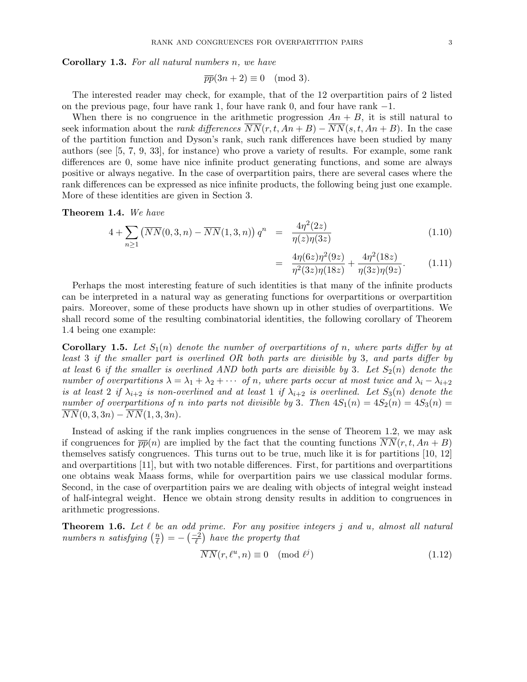Corollary 1.3. For all natural numbers n, we have

$$
\overline{pp}(3n+2) \equiv 0 \pmod{3}.
$$

The interested reader may check, for example, that of the 12 overpartition pairs of 2 listed on the previous page, four have rank 1, four have rank 0, and four have rank −1.

When there is no congruence in the arithmetic progression  $An + B$ , it is still natural to seek information about the *rank differences*  $\overline{NN}(r, t, An + B) - \overline{NN}(s, t, An + B)$ . In the case of the partition function and Dyson's rank, such rank differences have been studied by many authors (see [5, 7, 9, 33], for instance) who prove a variety of results. For example, some rank differences are 0, some have nice infinite product generating functions, and some are always positive or always negative. In the case of overpartition pairs, there are several cases where the rank differences can be expressed as nice infinite products, the following being just one example. More of these identities are given in Section 3.

Theorem 1.4. We have

$$
4 + \sum_{n\geq 1} \left( \overline{NN}(0,3,n) - \overline{NN}(1,3,n) \right) q^n = \frac{4\eta^2(2z)}{\eta(z)\eta(3z)} \tag{1.10}
$$

$$
= \frac{4\eta(6z)\eta^2(9z)}{\eta^2(3z)\eta(18z)} + \frac{4\eta^2(18z)}{\eta(3z)\eta(9z)}.
$$
 (1.11)

Perhaps the most interesting feature of such identities is that many of the infinite products can be interpreted in a natural way as generating functions for overpartitions or overpartition pairs. Moreover, some of these products have shown up in other studies of overpartitions. We shall record some of the resulting combinatorial identities, the following corollary of Theorem 1.4 being one example:

**Corollary 1.5.** Let  $S_1(n)$  denote the number of overpartitions of n, where parts differ by at least 3 if the smaller part is overlined OR both parts are divisible by 3, and parts differ by at least 6 if the smaller is overlined AND both parts are divisible by 3. Let  $S_2(n)$  denote the number of overpartitions  $\lambda = \lambda_1 + \lambda_2 + \cdots$  of n, where parts occur at most twice and  $\lambda_i - \lambda_{i+2}$ is at least 2 if  $\lambda_{i+2}$  is non-overlined and at least 1 if  $\lambda_{i+2}$  is overlined. Let  $S_3(n)$  denote the number of overpartitions of n into parts not divisible by 3. Then  $4S_1(n) = 4S_2(n) = 4S_3(n)$  $\overline{NN}(0,3,3n) - \overline{NN}(1,3,3n).$ 

Instead of asking if the rank implies congruences in the sense of Theorem 1.2, we may ask if congruences for  $\overline{pp}(n)$  are implied by the fact that the counting functions  $\overline{NN}(r,t, An+B)$ themselves satisfy congruences. This turns out to be true, much like it is for partitions [10, 12] and overpartitions [11], but with two notable differences. First, for partitions and overpartitions one obtains weak Maass forms, while for overpartition pairs we use classical modular forms. Second, in the case of overpartition pairs we are dealing with objects of integral weight instead of half-integral weight. Hence we obtain strong density results in addition to congruences in arithmetic progressions.

**Theorem 1.6.** Let  $\ell$  be an odd prime. For any positive integers j and u, almost all natural numbers n satisfying  $\left(\frac{n}{\ell}\right)$  $\binom{n}{\ell} = -\left(\frac{-2}{\ell}\right)$  have the property that

$$
\overline{NN}(r,\ell^u,n) \equiv 0 \pmod{\ell^j}
$$
\n(1.12)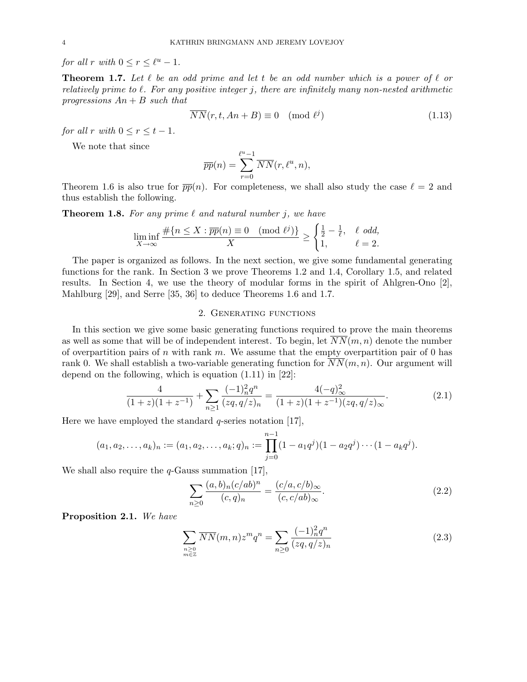for all r with  $0 \le r \le \ell^u - 1$ .

**Theorem 1.7.** Let  $\ell$  be an odd prime and let t be an odd number which is a power of  $\ell$  or relatively prime to  $\ell$ . For any positive integer j, there are infinitely many non-nested arithmetic progressions  $An + B$  such that

$$
\overline{NN}(r, t, An + B) \equiv 0 \pmod{\ell^j}
$$
\n(1.13)

for all r with  $0 \le r \le t - 1$ .

We note that since

$$
\overline{pp}(n) = \sum_{r=0}^{\ell^u - 1} \overline{NN}(r, \ell^u, n),
$$

Theorem 1.6 is also true for  $\overline{pp}(n)$ . For completeness, we shall also study the case  $\ell = 2$  and thus establish the following.

**Theorem 1.8.** For any prime  $\ell$  and natural number j, we have

$$
\liminf_{X \to \infty} \frac{\#\{n \le X : \overline{pp}(n) \equiv 0 \pmod{\ell^j}\}}{X} \ge \begin{cases} \frac{1}{2} - \frac{1}{\ell}, & \ell \text{ odd,} \\ 1, & \ell = 2. \end{cases}
$$

The paper is organized as follows. In the next section, we give some fundamental generating functions for the rank. In Section 3 we prove Theorems 1.2 and 1.4, Corollary 1.5, and related results. In Section 4, we use the theory of modular forms in the spirit of Ahlgren-Ono [2], Mahlburg [29], and Serre [35, 36] to deduce Theorems 1.6 and 1.7.

## 2. Generating functions

In this section we give some basic generating functions required to prove the main theorems as well as some that will be of independent interest. To begin, let  $\overline{NN}(m, n)$  denote the number of overpartition pairs of n with rank m. We assume that the empty overpartition pair of 0 has rank 0. We shall establish a two-variable generating function for  $\overline{NN}(m, n)$ . Our argument will depend on the following, which is equation (1.11) in [22]:

$$
\frac{4}{(1+z)(1+z^{-1})} + \sum_{n\geq 1} \frac{(-1)_n^2 q^n}{(zq, q/z)_n} = \frac{4(-q)_{\infty}^2}{(1+z)(1+z^{-1})(zq, q/z)_{\infty}}.
$$
(2.1)

Here we have employed the standard  $q$ -series notation [17],

$$
(a_1, a_2,..., a_k)_n := (a_1, a_2,..., a_k; q)_n := \prod_{j=0}^{n-1} (1 - a_1 q^j)(1 - a_2 q^j) \cdots (1 - a_k q^j).
$$

We shall also require the  $q$ -Gauss summation [17],

$$
\sum_{n\geq 0} \frac{(a,b)_n (c/ab)^n}{(c,q)_n} = \frac{(c/a, c/b)_{\infty}}{(c, c/ab)_{\infty}}.
$$
\n(2.2)

Proposition 2.1. We have

$$
\sum_{\substack{n\geq 0\\m\in \mathbb{Z}}} \overline{NN}(m,n)z^m q^n = \sum_{n\geq 0} \frac{(-1)_n^2 q^n}{(zq, q/z)_n}
$$
\n(2.3)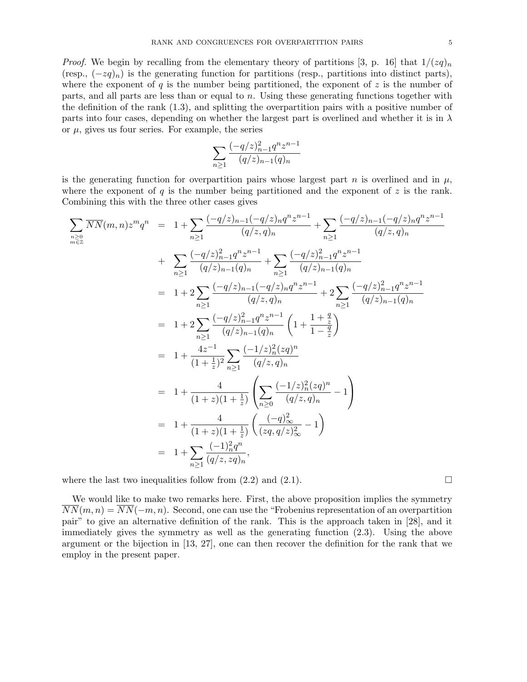*Proof.* We begin by recalling from the elementary theory of partitions [3, p. 16] that  $1/(zq)_n$ (resp.,  $(-zq)_n$ ) is the generating function for partitions (resp., partitions into distinct parts), where the exponent of q is the number being partitioned, the exponent of z is the number of parts, and all parts are less than or equal to n. Using these generating functions together with the definition of the rank (1.3), and splitting the overpartition pairs with a positive number of parts into four cases, depending on whether the largest part is overlined and whether it is in  $\lambda$ or  $\mu$ , gives us four series. For example, the series

$$
\sum_{n\geq 1} \frac{(-q/z)_{n-1}^2 q^n z^{n-1}}{(q/z)_{n-1} (q)_n}
$$

is the generating function for overpartition pairs whose largest part n is overlined and in  $\mu$ , where the exponent of q is the number being partitioned and the exponent of  $z$  is the rank. Combining this with the three other cases gives

$$
\sum_{n\geq 0} \overline{NN}(m,n)z^m q^n = 1 + \sum_{n\geq 1} \frac{(-q/z)_{n-1}(-q/z)_{n}q^{n}z^{n-1}}{(q/z,q)_n} + \sum_{n\geq 1} \frac{(-q/z)_{n-1}^2(-q/z)_{n-1}q^{n}z^{n-1}}{(q/z,q)_n} + \sum_{n\geq 1} \frac{(-q/z)_{n-1}^2q^{n}z^{n-1}}{(q/z)_{n-1}(q)_n} + \sum_{n\geq 1} \frac{(-q/z)_{n-1}^2q^{n}z^{n-1}}{(q/z)_{n-1}(q)_n} + 2\sum_{n\geq 1} \frac{(-q/z)_{n-1}^2q^{n}z^{n-1}}{(q/z)_{n-1}(q)_n} + 2\sum_{n\geq 1} \frac{(-q/z)_{n-1}^2q^{n}z^{n-1}}{(q/z)_{n-1}(q)_n} + \sum_{n\geq 1} \frac{(-q/z)_{n-1}^2q^{n}z^{n-1}}{(q/z)_{n-1}(q)_n} + \sum_{n\geq 1} \frac{(-q/z)_{n-1}^2q^{n}z^{n-1}}{(q/z)_{n-1}(q)_n} + \sum_{n\geq 1} \frac{(-q/z)_{n-1}^2q^{n}z^{n-1}}{(q/z,q)_{n-1}(q)_n} + \sum_{n\geq 1} \frac{(-1/z)_{n}^2(zq)^n}{(q/z,q)_n} + \sum_{n\geq 1} \frac{(-1/z)_{n}^2(zq)^n}{(q/z,q)_n} - 1 + \frac{4}{(1+z)(1+\frac{1}{z})} \left(\sum_{n\geq 0} \frac{(-1/z)_{n}^2(zq)^n}{(q/z,q)_n} - 1\right) + \sum_{n\geq 1} \frac{(-1)_{n}^2q^n}{(q/z,zq)_n},
$$

where the last two inequalities follow from  $(2.2)$  and  $(2.1)$ .

We would like to make two remarks here. First, the above proposition implies the symmetry  $\overline{NN}(m, n) = \overline{NN}(-m, n)$ . Second, one can use the "Frobenius representation of an overpartition pair" to give an alternative definition of the rank. This is the approach taken in [28], and it immediately gives the symmetry as well as the generating function (2.3). Using the above argument or the bijection in [13, 27], one can then recover the definition for the rank that we employ in the present paper.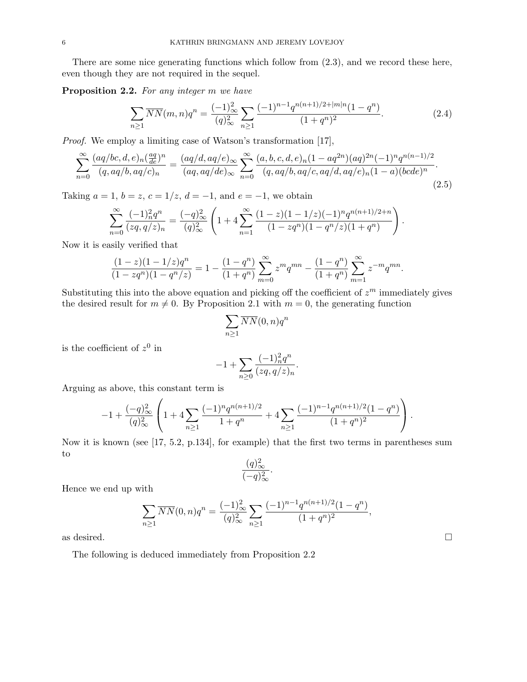There are some nice generating functions which follow from (2.3), and we record these here, even though they are not required in the sequel.

Proposition 2.2. For any integer m we have

$$
\sum_{n\geq 1} \overline{NN}(m,n)q^n = \frac{(-1)_\infty^2}{(q)_\infty^2} \sum_{n\geq 1} \frac{(-1)^{n-1} q^{n(n+1)/2+|m|n} (1-q^n)}{(1+q^n)^2}.
$$
\n(2.4)

Proof. We employ a limiting case of Watson's transformation [17],

$$
\sum_{n=0}^{\infty} \frac{(aq/bc,d,e)_n \left(\frac{aq}{de}\right)^n}{(q,aq/b,aq/c)_n} = \frac{(aq/d,aq/e)_{\infty}}{(aq,aq/de)_{\infty}} \sum_{n=0}^{\infty} \frac{(a,b,c,d,e)_n (1-aq^{2n})(aq)^{2n}(-1)^n q^{n(n-1)/2}}{(q,aq/b,aq/c,aq/d,aq/e)_n (1-a)(bcde)^n}.
$$
\n(2.5)

Taking  $a = 1$ ,  $b = z$ ,  $c = 1/z$ ,  $d = -1$ , and  $e = -1$ , we obtain

$$
\sum_{n=0}^{\infty} \frac{(-1)_n^2 q^n}{(zq, q/z)_n} = \frac{(-q)_{\infty}^2}{(q)_{\infty}^2} \left(1 + 4 \sum_{n=1}^{\infty} \frac{(1-z)(1-1/z)(-1)^n q^{n(n+1)/2+n}}{(1-zq^n)(1-q^n/z)(1+q^n)}\right).
$$

Now it is easily verified that

$$
\frac{(1-z)(1-1/z)q^n}{(1-zq^n)(1-q^n/z)} = 1 - \frac{(1-q^n)}{(1+q^n)} \sum_{m=0}^{\infty} z^m q^{mn} - \frac{(1-q^n)}{(1+q^n)} \sum_{m=1}^{\infty} z^{-m} q^{mn}.
$$

Substituting this into the above equation and picking off the coefficient of  $z<sup>m</sup>$  immediately gives the desired result for  $m \neq 0$ . By Proposition 2.1 with  $m = 0$ , the generating function

$$
\sum_{n\geq 1} \overline{NN}(0,n) q^n
$$

is the coefficient of  $z^0$  in

$$
-1 + \sum_{n\geq 0} \frac{(-1)^2_n q^n}{(zq, q/z)_n}.
$$

Arguing as above, this constant term is

$$
-1 + \frac{(-q)_\infty^2}{(q)_\infty^2} \left( 1 + 4 \sum_{n \geq 1} \frac{(-1)^n q^{n(n+1)/2}}{1+q^n} + 4 \sum_{n \geq 1} \frac{(-1)^{n-1} q^{n(n+1)/2} (1-q^n)}{(1+q^n)^2} \right).
$$

Now it is known (see [17, 5.2, p.134], for example) that the first two terms in parentheses sum to

$$
\frac{(q)_{\infty}^2}{(-q)_{\infty}^2}.
$$

Hence we end up with

$$
\sum_{n\geq 1} \overline{NN}(0,n)q^n = \frac{(-1)_\infty^2}{(q)_\infty^2} \sum_{n\geq 1} \frac{(-1)^{n-1} q^{n(n+1)/2} (1-q^n)}{(1+q^n)^2},
$$

as desired.  $\Box$ 

The following is deduced immediately from Proposition 2.2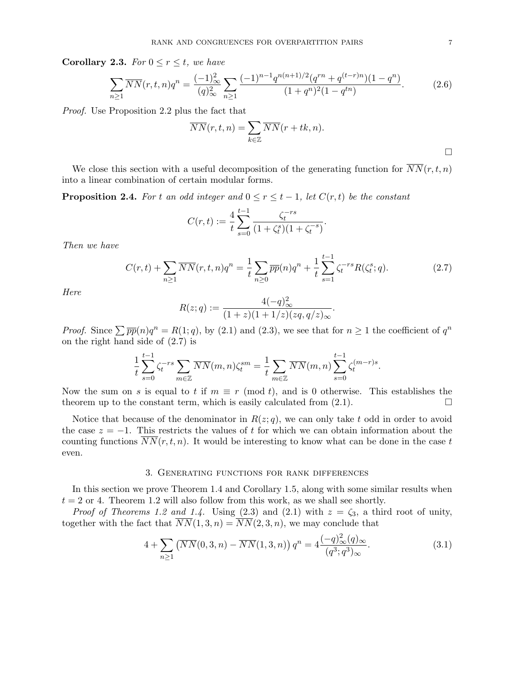Corollary 2.3. For  $0 \le r \le t$ , we have

$$
\sum_{n\geq 1} \overline{NN}(r,t,n)q^n = \frac{(-1)^2}{(q)^2} \sum_{n\geq 1} \frac{(-1)^{n-1} q^{n(n+1)/2} (q^{rn} + q^{(t-r)n}) (1-q^n)}{(1+q^n)^2 (1-q^{tn})}.
$$
 (2.6)

Proof. Use Proposition 2.2 plus the fact that

$$
\overline{NN}(r,t,n) = \sum_{k \in \mathbb{Z}} \overline{NN}(r+tk,n).
$$

.

We close this section with a useful decomposition of the generating function for  $\overline{NN}(r, t, n)$ into a linear combination of certain modular forms.

**Proposition 2.4.** For t an odd integer and  $0 \leq r \leq t-1$ , let  $C(r,t)$  be the constant

$$
C(r,t) := \frac{4}{t} \sum_{s=0}^{t-1} \frac{\zeta_t^{-rs}}{(1 + \zeta_t^s)(1 + \zeta_t^{-s})}.
$$

Then we have

$$
C(r,t) + \sum_{n\geq 1} \overline{NN}(r,t,n)q^n = \frac{1}{t} \sum_{n\geq 0} \overline{pp}(n)q^n + \frac{1}{t} \sum_{s=1}^{t-1} \zeta_t^{-rs} R(\zeta_t^s;q). \tag{2.7}
$$

Here

$$
R(z;q) := \frac{4(-q)_{\infty}^2}{(1+z)(1+1/z)(zq,q/z)_{\infty}}
$$

*Proof.* Since  $\sum \overline{pp}(n)q^n = R(1; q)$ , by (2.1) and (2.3), we see that for  $n \ge 1$  the coefficient of  $q^n$ on the right hand side of (2.7) is

$$
\frac{1}{t}\sum_{s=0}^{t-1}\zeta_t^{-rs}\sum_{m\in\mathbb{Z}}\overline{NN}(m,n)\zeta_t^{sm} = \frac{1}{t}\sum_{m\in\mathbb{Z}}\overline{NN}(m,n)\sum_{s=0}^{t-1}\zeta_t^{(m-r)s}.
$$

Now the sum on s is equal to t if  $m \equiv r \pmod{t}$ , and is 0 otherwise. This establishes the theorem up to the constant term, which is easily calculated from  $(2.1)$ .

Notice that because of the denominator in  $R(z; q)$ , we can only take t odd in order to avoid the case  $z = -1$ . This restricts the values of t for which we can obtain information about the counting functions  $\overline{NN}(r,t,n)$ . It would be interesting to know what can be done in the case t even.

## 3. Generating functions for rank differences

In this section we prove Theorem 1.4 and Corollary 1.5, along with some similar results when  $t = 2$  or 4. Theorem 1.2 will also follow from this work, as we shall see shortly.

*Proof of Theorems 1.2 and 1.4.* Using (2.3) and (2.1) with  $z = \zeta_3$ , a third root of unity, together with the fact that  $\overline{NN}(1,3,n) = \overline{NN}(2,3,n)$ , we may conclude that

$$
4 + \sum_{n\geq 1} \left( \overline{NN}(0,3,n) - \overline{NN}(1,3,n) \right) q^n = 4 \frac{(-q)_{\infty}^2(q)_{\infty}}{(q^3;q^3)_{\infty}}.
$$
 (3.1)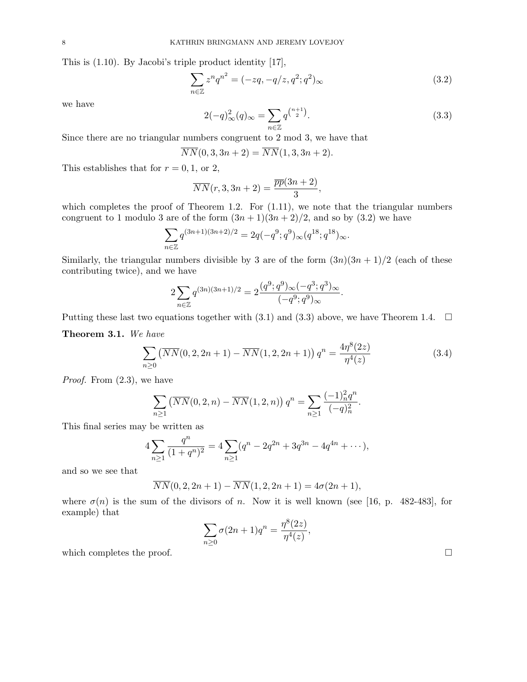This is (1.10). By Jacobi's triple product identity [17],

$$
\sum_{n \in \mathbb{Z}} z^n q^{n^2} = (-zq, -q/z, q^2; q^2)_{\infty}
$$
\n(3.2)

we have

$$
2(-q)_{\infty}^{2}(q)_{\infty} = \sum_{n \in \mathbb{Z}} q^{\binom{n+1}{2}}.
$$
\n(3.3)

Since there are no triangular numbers congruent to 2 mod 3, we have that

$$
\overline{NN}(0,3,3n+2) = \overline{NN}(1,3,3n+2).
$$

This establishes that for  $r = 0, 1$ , or 2,

$$
\overline{NN}(r,3,3n+2) = \frac{\overline{pp}(3n+2)}{3},
$$

which completes the proof of Theorem 1.2. For  $(1.11)$ , we note that the triangular numbers congruent to 1 modulo 3 are of the form  $(3n+1)(3n+2)/2$ , and so by (3.2) we have

$$
\sum_{n \in \mathbb{Z}} q^{(3n+1)(3n+2)/2} = 2q(-q^9; q^9)_{\infty}(q^{18}; q^{18})_{\infty}.
$$

Similarly, the triangular numbers divisible by 3 are of the form  $(3n)(3n + 1)/2$  (each of these contributing twice), and we have

$$
2\sum_{n\in\mathbb{Z}}q^{(3n)(3n+1)/2} = 2\frac{(q^9;q^9)_{\infty}(-q^3;q^3)_{\infty}}{(-q^9;q^9)_{\infty}}.
$$

Putting these last two equations together with (3.1) and (3.3) above, we have Theorem 1.4.  $\square$ 

Theorem 3.1. We have

$$
\sum_{n\geq 0} \left( \overline{NN}(0, 2, 2n+1) - \overline{NN}(1, 2, 2n+1) \right) q^n = \frac{4\eta^8(2z)}{\eta^4(z)}\tag{3.4}
$$

.

Proof. From (2.3), we have

$$
\sum_{n\geq 1} \left( \overline{NN}(0, 2, n) - \overline{NN}(1, 2, n) \right) q^n = \sum_{n\geq 1} \frac{(-1)_n^2 q^n}{(-q)_n^2}
$$

This final series may be written as

$$
4\sum_{n\geq 1} \frac{q^n}{(1+q^n)^2} = 4\sum_{n\geq 1} (q^n - 2q^{2n} + 3q^{3n} - 4q^{4n} + \cdots),
$$

and so we see that

$$
\overline{NN}(0,2,2n+1) - \overline{NN}(1,2,2n+1) = 4\sigma(2n+1),
$$

where  $\sigma(n)$  is the sum of the divisors of n. Now it is well known (see [16, p. 482-483], for example) that  $\circ$ 

$$
\sum_{n\geq 0}\sigma(2n+1)q^n=\frac{\eta^8(2z)}{\eta^4(z)},
$$
 which completes the proof.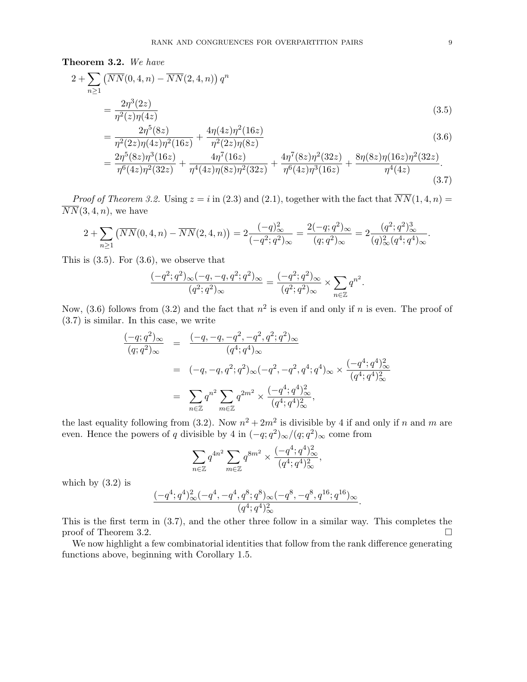Theorem 3.2. We have

$$
2 + \sum_{n\geq 1} \left( \overline{NN}(0, 4, n) - \overline{NN}(2, 4, n) \right) q^n
$$
  
= 
$$
\frac{2\eta^3(2z)}{\eta^2(z)\eta(4z)}
$$
  

$$
2n^5(8z)
$$
 
$$
4n(4z)n^2(16z)
$$
 (3.5)

$$
= \frac{2\eta^5(8z)}{\eta^2(2z)\eta(4z)\eta^2(16z)} + \frac{4\eta(4z)\eta^2(16z)}{\eta^2(2z)\eta(8z)}
$$
(3.6)

$$
= \frac{2\eta^5 (8z)\eta^3 (16z)}{\eta^6 (4z)\eta^2 (32z)} + \frac{4\eta^7 (16z)}{\eta^4 (4z)\eta (8z)\eta^2 (32z)} + \frac{4\eta^7 (8z)\eta^2 (32z)}{\eta^6 (4z)\eta^3 (16z)} + \frac{8\eta (8z)\eta (16z)\eta^2 (32z)}{\eta^4 (4z)}.
$$
\n(3.7)

*Proof of Theorem 3.2.* Using  $z = i$  in (2.3) and (2.1), together with the fact that  $\overline{NN}(1, 4, n) =$  $\overline{NN}(3, 4, n)$ , we have

$$
2 + \sum_{n\geq 1} \left( \overline{NN}(0, 4, n) - \overline{NN}(2, 4, n) \right) = 2 \frac{(-q)_{\infty}^2}{(-q^2; q^2)_{\infty}} = \frac{2(-q; q^2)_{\infty}}{(q; q^2)_{\infty}} = 2 \frac{(q^2; q^2)_{\infty}^3}{(q)_{\infty}^2 (q^4; q^4)_{\infty}}.
$$

This is  $(3.5)$ . For  $(3.6)$ , we observe that

$$
\frac{(-q^2;q^2)_{\infty}(-q,-q,q^2;q^2)_{\infty}}{(q^2;q^2)_{\infty}} = \frac{(-q^2;q^2)_{\infty}}{(q^2;q^2)_{\infty}} \times \sum_{n \in \mathbb{Z}} q^{n^2}.
$$

Now, (3.6) follows from (3.2) and the fact that  $n^2$  is even if and only if n is even. The proof of (3.7) is similar. In this case, we write

$$
\frac{(-q;q^2)_{\infty}}{(q;q^2)_{\infty}} = \frac{(-q,-q,-q^2,-q^2,q^2;q^2)_{\infty}}{(q^4;q^4)_{\infty}}
$$
  

$$
= (-q,-q,q^2;q^2)_{\infty}(-q^2,-q^2,q^4;q^4)_{\infty} \times \frac{(-q^4;q^4)_{\infty}^2}{(q^4;q^4)_{\infty}^2}
$$
  

$$
= \sum_{n \in \mathbb{Z}} q^{n^2} \sum_{m \in \mathbb{Z}} q^{2m^2} \times \frac{(-q^4;q^4)_{\infty}^2}{(q^4;q^4)_{\infty}^2},
$$

the last equality following from (3.2). Now  $n^2 + 2m^2$  is divisible by 4 if and only if n and m are even. Hence the powers of q divisible by 4 in  $(-q;q^2)_{\infty}/(q;q^2)_{\infty}$  come from

$$
\sum_{n\in\mathbb{Z}} q^{4n^2} \sum_{m\in\mathbb{Z}} q^{8m^2} \times \frac{(-q^4;q^4)_{\infty}^2}{(q^4;q^4)_{\infty}^2},
$$

which by  $(3.2)$  is

$$
\frac{(-q^4;q^4)_\infty^2(-q^4,-q^4,q^8;q^8)_\infty(-q^8,-q^8,q^{16};q^{16})_\infty}{(q^4;q^4)_\infty^2}.
$$

This is the first term in (3.7), and the other three follow in a similar way. This completes the proof of Theorem 3.2.

We now highlight a few combinatorial identities that follow from the rank difference generating functions above, beginning with Corollary 1.5.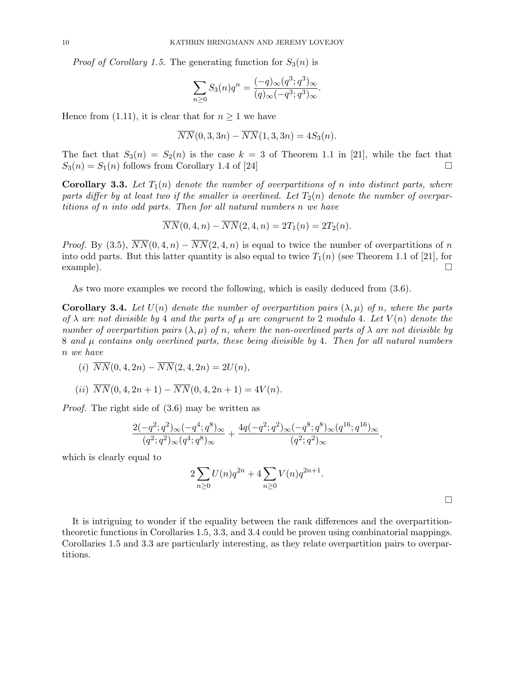*Proof of Corollary 1.5.* The generating function for  $S_3(n)$  is

$$
\sum_{n\geq 0} S_3(n)q^n = \frac{(-q)_{\infty}(q^3;q^3)_{\infty}}{(q)_{\infty}(-q^3;q^3)_{\infty}}.
$$

Hence from (1.11), it is clear that for  $n \geq 1$  we have

$$
\overline{NN}(0,3,3n) - \overline{NN}(1,3,3n) = 4S_3(n).
$$

The fact that  $S_3(n) = S_2(n)$  is the case  $k = 3$  of Theorem 1.1 in [21], while the fact that  $S_3(n) = S_1(n)$  follows from Corollary 1.4 of [24]

**Corollary 3.3.** Let  $T_1(n)$  denote the number of overpartitions of n into distinct parts, where parts differ by at least two if the smaller is overlined. Let  $T_2(n)$  denote the number of overpartitions of n into odd parts. Then for all natural numbers n we have

$$
\overline{NN}(0,4,n) - \overline{NN}(2,4,n) = 2T_1(n) = 2T_2(n).
$$

*Proof.* By (3.5),  $\overline{NN}(0, 4, n) - \overline{NN}(2, 4, n)$  is equal to twice the number of overpartitions of n into odd parts. But this latter quantity is also equal to twice  $T_1(n)$  (see Theorem 1.1 of [21], for  $\Box$  example).

As two more examples we record the following, which is easily deduced from (3.6).

**Corollary 3.4.** Let  $U(n)$  denote the number of overpartition pairs  $(\lambda, \mu)$  of n, where the parts of  $\lambda$  are not divisible by 4 and the parts of  $\mu$  are congruent to 2 modulo 4. Let  $V(n)$  denote the number of overpartition pairs  $(\lambda, \mu)$  of n, where the non-overlined parts of  $\lambda$  are not divisible by  $8$  and  $\mu$  contains only overlined parts, these being divisible by 4. Then for all natural numbers n we have

- (i)  $\overline{NN}(0, 4, 2n) \overline{NN}(2, 4, 2n) = 2U(n),$
- (ii)  $\overline{NN}(0, 4, 2n+1) \overline{NN}(0, 4, 2n+1) = 4V(n).$

Proof. The right side of (3.6) may be written as

$$
\frac{2(-q^2;q^2)_{\infty}(-q^4;q^8)_{\infty}}{(q^2;q^2)_{\infty}(q^4;q^8)_{\infty}} + \frac{4q(-q^2;q^2)_{\infty}(-q^8;q^8)_{\infty}(q^{16};q^{16})_{\infty}}{(q^2;q^2)_{\infty}},
$$

which is clearly equal to

$$
2\sum_{n\geq 0} U(n)q^{2n} + 4\sum_{n\geq 0} V(n)q^{2n+1}.
$$

It is intriguing to wonder if the equality between the rank differences and the overpartitiontheoretic functions in Corollaries 1.5, 3.3, and 3.4 could be proven using combinatorial mappings. Corollaries 1.5 and 3.3 are particularly interesting, as they relate overpartition pairs to overpartitions.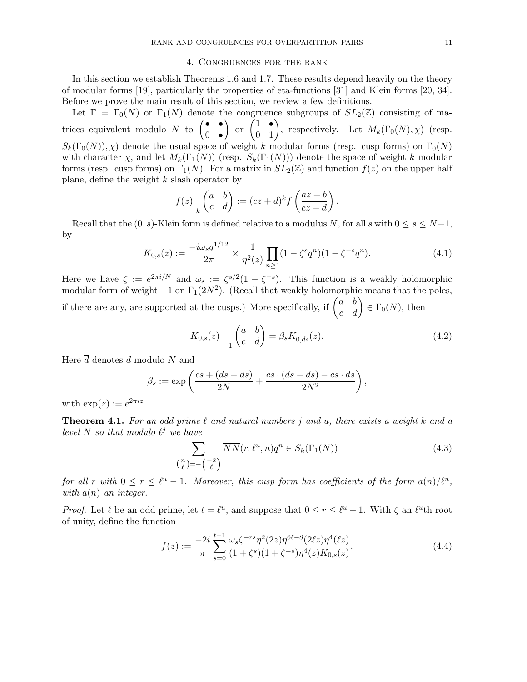## 4. Congruences for the rank

In this section we establish Theorems 1.6 and 1.7. These results depend heavily on the theory of modular forms [19], particularly the properties of eta-functions [31] and Klein forms [20, 34]. Before we prove the main result of this section, we review a few definitions.

Let  $\Gamma = \Gamma_0(N)$  or  $\Gamma_1(N)$  denote the congruence subgroups of  $SL_2(\mathbb{Z})$  consisting of matrices equivalent modulo N to  $\begin{pmatrix} \bullet & \bullet \\ 0 & \bullet \end{pmatrix}$  $0$   $\bullet$ or  $\begin{pmatrix} 1 & \bullet \\ 0 & 1 \end{pmatrix}$ , respectively. Let  $M_k(\Gamma_0(N), \chi)$  (resp.  $S_k(\Gamma_0(N)), \chi$  denote the usual space of weight k modular forms (resp. cusp forms) on  $\Gamma_0(N)$ with character  $\chi$ , and let  $M_k(\Gamma_1(N))$  (resp.  $S_k(\Gamma_1(N))$ ) denote the space of weight k modular forms (resp. cusp forms) on  $\Gamma_1(N)$ . For a matrix in  $SL_2(\mathbb{Z})$  and function  $f(z)$  on the upper half plane, define the weight  $k$  slash operator by

$$
f(z)\bigg|_k \begin{pmatrix} a & b \\ c & d \end{pmatrix} := (cz+d)^k f\left(\frac{az+b}{cz+d}\right).
$$

Recall that the  $(0, s)$ -Klein form is defined relative to a modulus N, for all s with  $0 \leq s \leq N-1$ , by

$$
K_{0,s}(z) := \frac{-i\omega_s q^{1/12}}{2\pi} \times \frac{1}{\eta^2(z)} \prod_{n\geq 1} (1 - \zeta^s q^n)(1 - \zeta^{-s} q^n). \tag{4.1}
$$

Here we have  $\zeta := e^{2\pi i/N}$  and  $\omega_s := \zeta^{s/2} (1 - \zeta^{-s})$ . This function is a weakly holomorphic modular form of weight  $-1$  on  $\Gamma_1(2N^2)$ . (Recall that weakly holomorphic means that the poles, if there are any, are supported at the cusps.) More specifically, if  $\begin{pmatrix} a & b \\ c & d \end{pmatrix} \in \Gamma_0(N)$ , then

$$
K_{0,s}(z)\Big|_{-1} \begin{pmatrix} a & b \\ c & d \end{pmatrix} = \beta_s K_{0,\overline{ds}}(z). \tag{4.2}
$$

Here  $\overline{d}$  denotes d modulo N and

$$
\beta_s := \exp\left(\frac{cs + (ds - \overline{ds})}{2N} + \frac{cs \cdot (ds - \overline{ds}) - cs \cdot \overline{ds}}{2N^2}\right),\,
$$

with  $\exp(z) := e^{2\pi i z}$ .

**Theorem 4.1.** For an odd prime  $\ell$  and natural numbers j and u, there exists a weight k and a level N so that modulo  $\ell^j$  we have

$$
\sum_{\left(\frac{n}{\ell}\right)=-\left(\frac{-2}{\ell}\right)} \overline{NN}(r,\ell^u,n)q^n \in S_k(\Gamma_1(N))\tag{4.3}
$$

for all r with  $0 \le r \le \ell^u - 1$ . Moreover, this cusp form has coefficients of the form  $a(n)/\ell^u$ , with  $a(n)$  an integer.

*Proof.* Let  $\ell$  be an odd prime, let  $t = \ell^u$ , and suppose that  $0 \le r \le \ell^u - 1$ . With  $\zeta$  an  $\ell^u$ th root of unity, define the function

$$
f(z) := \frac{-2i}{\pi} \sum_{s=0}^{t-1} \frac{\omega_s \zeta^{-rs} \eta^2 (2z) \eta^{6\ell - 8} (2\ell z) \eta^4(\ell z)}{(1 + \zeta^s)(1 + \zeta^{-s}) \eta^4(z) K_{0,s}(z)}.
$$
(4.4)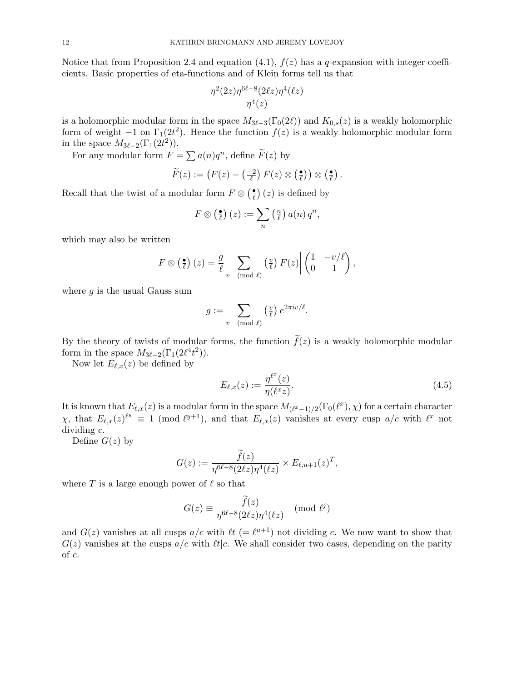Notice that from Proposition 2.4 and equation (4.1),  $f(z)$  has a q-expansion with integer coefficients. Basic properties of eta-functions and of Klein forms tell us that

$$
\frac{\eta^2(2z)\eta^{6\ell-8}(2\ell z)\eta^4(\ell z)}{\eta^4(z)}
$$

is a holomorphic modular form in the space  $M_{3\ell-3}(\Gamma_0(2\ell))$  and  $K_{0,s}(z)$  is a weakly holomorphic form of weight  $-1$  on  $\Gamma_1(2t^2)$ . Hence the function  $f(z)$  is a weakly holomorphic modular form in the space  $M_{3\ell-2}(\Gamma_1(2t^2)).$ 

For any modular form  $F = \sum a(n)q^n$ , define  $\widetilde{F}(z)$  by

$$
\widetilde{F}(z) := \left( F(z) - \left( \frac{-2}{\ell} \right) F(z) \otimes \left( \frac{\bullet}{\ell} \right) \right) \otimes \left( \frac{\bullet}{\ell} \right).
$$

Recall that the twist of a modular form  $F \otimes (\frac{\bullet}{\ell})$  $(\overline{z})$  (*z*) is defined by

$$
F \otimes \left(\frac{\bullet}{\ell}\right)(z) := \sum_{n} \left(\frac{n}{\ell}\right) a(n) q^{n},
$$

which may also be written

$$
F \otimes \left(\frac{\bullet}{\ell}\right)(z) = \frac{g}{\ell} \sum_{v \pmod{\ell}} \left(\frac{v}{\ell}\right) F(z) \bigg| \begin{pmatrix} 1 & -v/\ell \\ 0 & 1 \end{pmatrix},
$$

where  $q$  is the usual Gauss sum

$$
g := \sum_{v \pmod{\ell}} \left(\frac{v}{\ell}\right) e^{2\pi i v/\ell}.
$$

By the theory of twists of modular forms, the function  $\tilde{f}(z)$  is a weakly holomorphic modular form in the space  $M_{3\ell-2}(\Gamma_1(2\ell^4t^2)).$ 

Now let  $E_{\ell,x}(z)$  be defined by

$$
E_{\ell,x}(z) := \frac{\eta^{\ell^x}(z)}{\eta(\ell^x z)}.\tag{4.5}
$$

It is known that  $E_{\ell,x}(z)$  is a modular form in the space  $M_{(\ell^x-1)/2}(\Gamma_0(\ell^x), \chi)$  for a certain character  $\chi$ , that  $E_{\ell,x}(z)^{\ell^y} \equiv 1 \pmod{\ell^{y+1}}$ , and that  $E_{\ell,x}(z)$  vanishes at every cusp  $a/c$  with  $\ell^x$  not dividing c.

Define  $G(z)$  by

$$
G(z) := \frac{\tilde{f}(z)}{\eta^{6\ell - 8} (2\ell z) \eta^4(\ell z)} \times E_{\ell, u+1}(z)^T,
$$

where T is a large enough power of  $\ell$  so that

$$
G(z) \equiv \frac{f(z)}{\eta^{6\ell - 8}(2\ell z)\eta^4(\ell z)} \pmod{\ell^j}
$$

and  $G(z)$  vanishes at all cusps  $a/c$  with  $\ell t$  (=  $\ell^{u+1}$ ) not dividing c. We now want to show that  $G(z)$  vanishes at the cusps  $a/c$  with  $\ell t/c$ . We shall consider two cases, depending on the parity of c.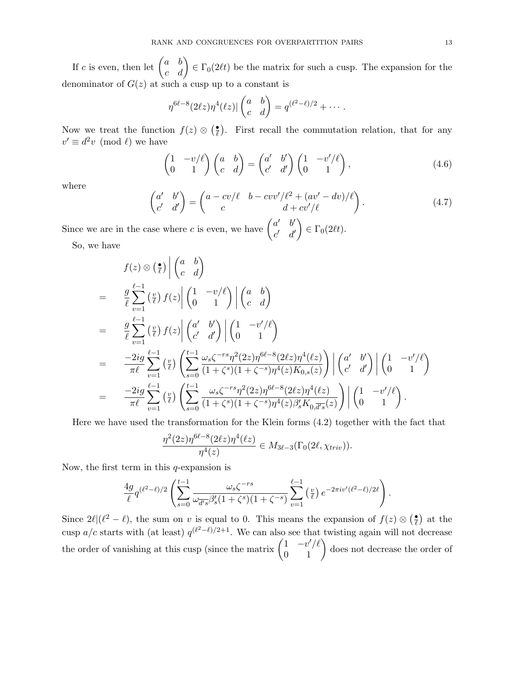If c is even, then let  $\begin{pmatrix} a & b \\ c & d \end{pmatrix} \in \Gamma_0(2\ell t)$  be the matrix for such a cusp. The expansion for the denominator of  $G(z)$  at such a cusp up to a constant is

$$
\eta^{6\ell-8}(2\ell z)\eta^4(\ell z)|\begin{pmatrix}a&b\\c&d\end{pmatrix}=q^{(\ell^2-\ell)/2}+\cdots.
$$

Now we treat the function  $f(z) \otimes \left(\frac{\bullet}{\ell}\right)$  $\frac{1}{\ell}$ . First recall the commutation relation, that for any  $v' \equiv d^2v \pmod{\ell}$  we have

$$
\begin{pmatrix} 1 & -v/\ell \\ 0 & 1 \end{pmatrix} \begin{pmatrix} a & b \\ c & d \end{pmatrix} = \begin{pmatrix} a' & b' \\ c' & d' \end{pmatrix} \begin{pmatrix} 1 & -v'/\ell \\ 0 & 1 \end{pmatrix},
$$
(4.6)

where

$$
\begin{pmatrix} a' & b' \\ c' & d' \end{pmatrix} = \begin{pmatrix} a - cv/\ell & b - cvv'/\ell^2 + (av' - dv)/\ell \\ c & d + cv'/\ell \end{pmatrix}.
$$
 (4.7)

Since we are in the case where c is even, we have  $\begin{pmatrix} a' & b' \\ c & d' \end{pmatrix}$  $c'$  d'  $\overline{ }$  $\in \Gamma_0(2\ell t).$ 

So, we have

$$
f(z) \otimes \left(\frac{\bullet}{\ell}\right) \left| \begin{pmatrix} a & b \\ c & d \end{pmatrix} \right|
$$
  
\n
$$
= \frac{g}{\ell} \sum_{v=1}^{\ell-1} \left(\frac{v}{\ell}\right) f(z) \left| \begin{pmatrix} 1 & -v/\ell \\ 0 & 1 \end{pmatrix} \right| \left(\frac{a}{c} - \frac{b}{d} \right)
$$
  
\n
$$
= \frac{g}{\ell} \sum_{v=1}^{\ell-1} \left(\frac{v}{\ell}\right) f(z) \left| \begin{pmatrix} a' & b' \\ c' & d' \end{pmatrix} \right| \left( \frac{1}{0} - \frac{v'/\ell}{1} \right)
$$
  
\n
$$
= \frac{-2ig}{\pi \ell} \sum_{v=1}^{\ell-1} \left(\frac{v}{\ell}\right) \left( \sum_{s=0}^{t-1} \frac{\omega_s \zeta^{-rs} \eta^2 (2z) \eta^{6\ell - 8} (2\ell z) \eta^4(\ell z)}{(1 + \zeta^s)(1 + \zeta^{-s}) \eta^4(z) K_{0,s}(z)} \right) \left| \begin{pmatrix} a' & b' \\ c' & d' \end{pmatrix} \right| \left( \begin{pmatrix} 1 & -v'/\ell \\ 0 & 1 \end{pmatrix} \right)
$$
  
\n
$$
= \frac{-2ig}{\pi \ell} \sum_{v=1}^{\ell-1} \left(\frac{v}{\ell}\right) \left( \sum_{s=0}^{t-1} \frac{\omega_s \zeta^{-rs} \eta^2 (2z) \eta^{6\ell - 8} (2\ell z) \eta^4(\ell z)}{(1 + \zeta^s)(1 + \zeta^{-s}) \eta^4(z) \beta_s' K_{0,\overline{d's}}(z)} \right) \left| \begin{pmatrix} 1 & -v'/\ell \\ 0 & 1 \end{pmatrix} \right|.
$$

Here we have used the transformation for the Klein forms (4.2) together with the fact that

$$
\frac{\eta^2(2z)\eta^{6\ell-8}(2\ell z)\eta^4(\ell z)}{\eta^4(z)} \in M_{3\ell-3}(\Gamma_0(2\ell, \chi_{triv})).
$$

Now, the first term in this  $q$ -expansion is

$$
\frac{4g}{\ell}q^{(\ell^2-\ell)/2}\left(\sum_{s=0}^{t-1}\frac{\omega_s\zeta^{-rs}}{\omega_{\overline{d's}}\beta_s'(1+\zeta^s)(1+\zeta^{-s})}\sum_{v=1}^{\ell-1} \binom{v}{\ell}e^{-2\pi i v'(\ell^2-\ell)/2\ell}\right).
$$

Since  $2\ell\,\ell^2 - \ell)$ , the sum on v is equal to 0. This means the expansion of  $f(z) \otimes \ell$  $\frac{\bullet}{\ell}$  at the cusp a/c starts with (at least)  $q^{(\ell^2-\ell)/2+1}$ . We can also see that twisting again will not decrease the order of vanishing at this cusp (since the matrix  $\begin{pmatrix} 1 & -v'/\ell \\ 0 & 1 \end{pmatrix}$  does not decrease the order of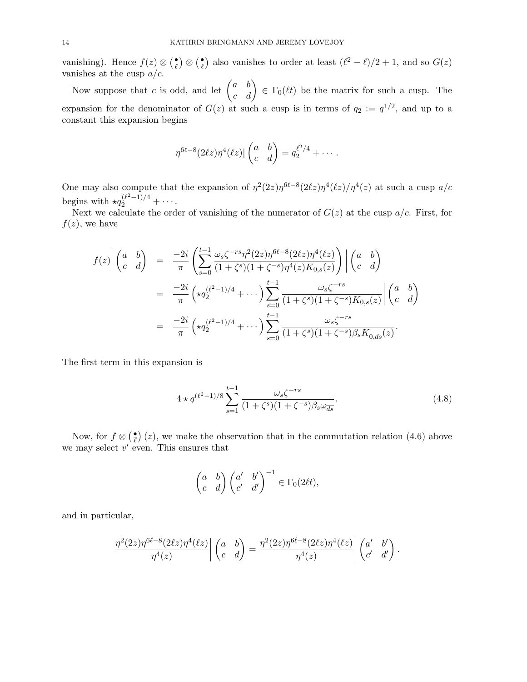vanishing). Hence  $f(z) \otimes \left(\frac{\bullet}{\ell}\right)$  $\frac{\bullet}{\ell}) \otimes (\frac{\bullet}{\ell})$  $\frac{•}{\ell}$ ) also vanishes to order at least  $(\ell^2 - \ell)/2 + 1$ , and so  $G(z)$ vanishes at the cusp  $a/c$ .

Now suppose that c is odd, and let  $\begin{pmatrix} a & b \\ c & d \end{pmatrix} \in \Gamma_0(\ell t)$  be the matrix for such a cusp. The expansion for the denominator of  $G(z)$  at such a cusp is in terms of  $q_2 := q^{1/2}$ , and up to a constant this expansion begins

$$
\eta^{6\ell-8}(2\ell z)\eta^4(\ell z)|\begin{pmatrix}a&b\\c&d\end{pmatrix}=q_2^{\ell^2/4}+\cdots.
$$

One may also compute that the expansion of  $\eta^2(2z)\eta^{6\ell-8}(2\ell z)\eta^4(\ell z)/\eta^4(z)$  at such a cusp  $a/c$ begins with  $\star q_2^{(\ell^2-1)/4} + \cdots$ .

Next we calculate the order of vanishing of the numerator of  $G(z)$  at the cusp  $a/c$ . First, for  $f(z)$ , we have

$$
f(z)\left|\begin{pmatrix} a & b \\ c & d \end{pmatrix}\right| = \frac{-2i}{\pi} \left(\sum_{s=0}^{t-1} \frac{\omega_s \zeta^{-rs} \eta^2 (2z) \eta^{6\ell - 8} (2\ell z) \eta^4(\ell z)}{(1 + \zeta^s)(1 + \zeta^{-s}) \eta^4(z) K_{0,s}(z)}\right) \left|\begin{pmatrix} a & b \\ c & d \end{pmatrix}\right|
$$
  

$$
= \frac{-2i}{\pi} \left(\star q_2^{(\ell^2 - 1)/4} + \cdots\right) \sum_{s=0}^{t-1} \frac{\omega_s \zeta^{-rs}}{(1 + \zeta^s)(1 + \zeta^{-s}) K_{0,s}(z)} \left|\begin{pmatrix} a & b \\ c & d \end{pmatrix}\right|
$$
  

$$
= \frac{-2i}{\pi} \left(\star q_2^{(\ell^2 - 1)/4} + \cdots\right) \sum_{s=0}^{t-1} \frac{\omega_s \zeta^{-rs}}{(1 + \zeta^s)(1 + \zeta^{-s}) \beta_s K_{0,\overline{ds}}(z)}.
$$

The first term in this expansion is

$$
4 \star q^{(\ell^2 - 1)/8} \sum_{s=1}^{t-1} \frac{\omega_s \zeta^{-rs}}{(1 + \zeta^s)(1 + \zeta^{-s}) \beta_s \omega_{ds}^{-}}.
$$
\n(4.8)

Now, for  $f \otimes (\frac{\bullet}{\ell})$  $(\frac{\bullet}{\ell})$  (*z*), we make the observation that in the commutation relation (4.6) above we may select  $v'$  even. This ensures that

$$
\begin{pmatrix} a & b \\ c & d \end{pmatrix} \begin{pmatrix} a' & b' \\ c' & d' \end{pmatrix}^{-1} \in \Gamma_0(2\ell t),
$$

and in particular,

$$
\frac{\eta^2(2z)\eta^{6\ell-8}(2\ell z)\eta^4(\ell z)}{\eta^4(z)}\bigg|\begin{pmatrix}a&b\\c&d\end{pmatrix}=\frac{\eta^2(2z)\eta^{6\ell-8}(2\ell z)\eta^4(\ell z)}{\eta^4(z)}\bigg|\begin{pmatrix}a'&b'\\c'&d'\end{pmatrix}.
$$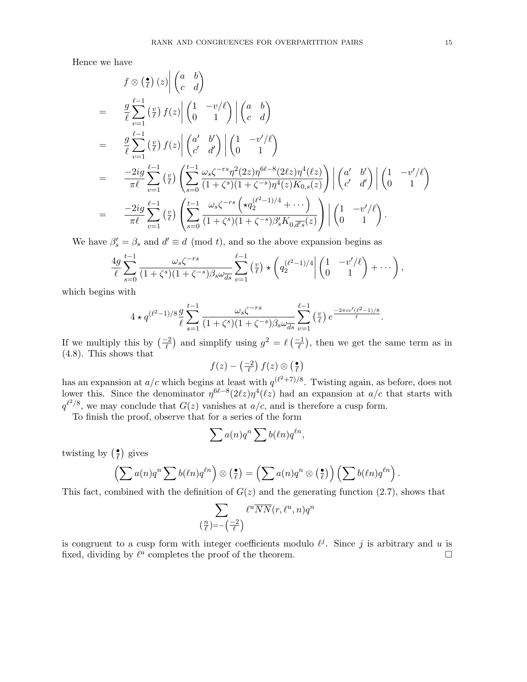Hence we have

$$
f \otimes \left(\frac{\bullet}{\ell}\right)(z)\Big| \begin{pmatrix} a & b \\ c & d \end{pmatrix}
$$
  
\n
$$
= \frac{g}{\ell} \sum_{v=1}^{\ell-1} \left(\frac{v}{\ell}\right) f(z) \Big| \begin{pmatrix} 1 & -v/\ell \\ 0 & 1 \end{pmatrix} \Big| \begin{pmatrix} a & b \\ c & d \end{pmatrix}
$$
  
\n
$$
= \frac{g}{\ell} \sum_{v=1}^{\ell-1} \left(\frac{v}{\ell}\right) f(z) \Big| \begin{pmatrix} a' & b' \\ c' & d' \end{pmatrix} \Big| \begin{pmatrix} 1 & -v'/\ell \\ 0 & 1 \end{pmatrix}
$$
  
\n
$$
= \frac{-2ig}{\pi \ell} \sum_{v=1}^{\ell-1} \left(\frac{v}{\ell}\right) \left(\sum_{s=0}^{t-1} \frac{\omega_s \zeta^{-rs} \eta^2 (2z) \eta^{6\ell-8} (2\ell z) \eta^4(\ell z)}{(1+\zeta^s)(1+\zeta^{-s}) \eta^4(z) K_{0,s}(z)}\right) \Big| \begin{pmatrix} a' & b' \\ c' & d' \end{pmatrix} \Big| \begin{pmatrix} 1 & -v'/\ell \\ 0 & 1 \end{pmatrix}
$$
  
\n
$$
= \frac{-2ig}{\pi \ell} \sum_{v=1}^{\ell-1} \left(\frac{v}{\ell}\right) \left(\sum_{s=0}^{t-1} \frac{\omega_s \zeta^{-rs} \left(\star q_2^{(\ell-1)/4} + \cdots \right)}{(1+\zeta^s)(1+\zeta^{-s}) \beta_s' K_{0,\overline{d/s}}(z)}\right) \Big| \begin{pmatrix} 1 & -v'/\ell \\ 0 & 1 \end{pmatrix}.
$$

We have  $\beta'_s = \beta_s$  and  $d' \equiv d \pmod{t}$ , and so the above expansion begins as

$$
\frac{4g}{\ell} \sum_{s=0}^{t-1} \frac{\omega_s \zeta^{-rs}}{(1+\zeta^s)(1+\zeta^{-s})\beta_s \omega_{ds}^-} \sum_{v=1}^{\ell-1} \left(\frac{v}{\ell}\right) \star \left(q_2^{(\ell^2-1)/4} \middle| \begin{pmatrix} 1 & -v'/\ell \\ 0 & 1 \end{pmatrix} + \cdots\right),
$$

which begins with

$$
4 \star q^{(\ell^2-1)/8} \frac{g}{\ell} \sum_{s=1}^{t-1} \frac{\omega_s \zeta^{-rs}}{(1+\zeta^s)(1+\zeta^{-s})\beta_s \omega_{ds}} \sum_{v=1}^{\ell-1} \left(\frac{v}{\ell}\right) e^{\frac{-2\pi i v'(t^2-1)/8}{\ell}}.
$$

If we multiply this by  $\left(\frac{-2}{\ell}\right)$  and simplify using  $g^2 = \ell\left(\frac{-1}{\ell}\right)$ , then we get the same term as in (4.8). This shows that

$$
f(z) - \left(\frac{-2}{\ell}\right) f(z) \otimes \left(\frac{\bullet}{\ell}\right)
$$

has an expansion at  $a/c$  which begins at least with  $q^{(\ell^2+7)/8}$ . Twisting again, as before, does not lower this. Since the denominator  $\eta^{6\ell-8}(2\ell z)\eta^4(\ell z)$  had an expansion at  $a/c$  that starts with  $q^{\ell^2/8}$ , we may conclude that  $G(z)$  vanishes at  $a/c$ , and is therefore a cusp form.

To finish the proof, observe that for a series of the form

$$
\sum a(n)q^n \sum b(\ell n)q^{\ell n},
$$

twisting by  $(\frac{\bullet}{\ell})$  $\frac{\bullet}{\ell}$ ) gives

$$
\left(\sum a(n)q^n\sum b(\ell n)q^{\ell n}\right)\otimes\left(\frac{\bullet}{\ell}\right)=\left(\sum a(n)q^n\otimes\left(\frac{\bullet}{\ell}\right)\right)\left(\sum b(\ell n)q^{\ell n}\right).
$$

This fact, combined with the definition of  $G(z)$  and the generating function  $(2.7)$ , shows that

$$
\sum_{\left(\frac{n}{\ell}\right)=-\left(\frac{-2}{\ell}\right)}\ell^u\overline{NN}(r,\ell^u,n)q^n
$$

is congruent to a cusp form with integer coefficients modulo  $\ell^j$ . Since j is arbitrary and u is fixed, dividing by  $\ell^u$  completes the proof of the theorem.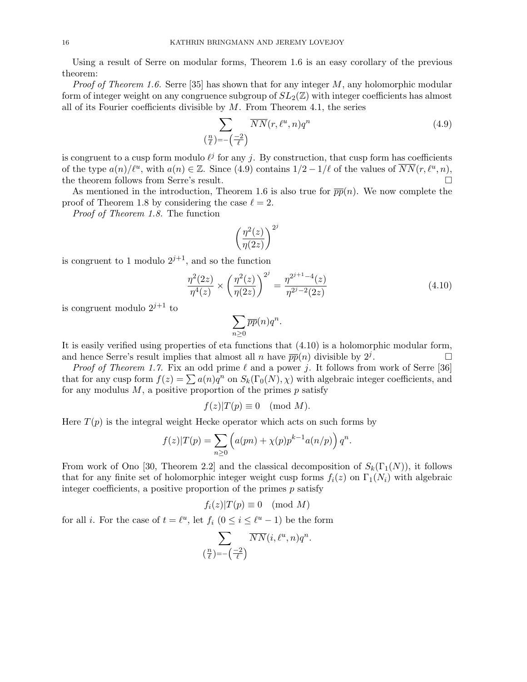Using a result of Serre on modular forms, Theorem 1.6 is an easy corollary of the previous theorem:

*Proof of Theorem 1.6.* Serre [35] has shown that for any integer  $M$ , any holomorphic modular form of integer weight on any congruence subgroup of  $SL_2(\mathbb{Z})$  with integer coefficients has almost all of its Fourier coefficients divisible by  $M$ . From Theorem 4.1, the series

$$
\sum_{\left(\frac{n}{\ell}\right)=-\left(\frac{-2}{\ell}\right)} \overline{NN}(r,\ell^u,n)q^n \tag{4.9}
$$

is congruent to a cusp form modulo  $\ell^j$  for any j. By construction, that cusp form has coefficients of the type  $a(n)/\ell^u$ , with  $a(n) \in \mathbb{Z}$ . Since (4.9) contains  $1/2 - 1/\ell$  of the values of  $\overline{NN}(r, \ell^u, n)$ , the theorem follows from Serre's result.

As mentioned in the introduction, Theorem 1.6 is also true for  $\overline{pp}(n)$ . We now complete the proof of Theorem 1.8 by considering the case  $\ell = 2$ .

Proof of Theorem 1.8. The function

$$
\left(\frac{\eta^2(z)}{\eta(2z)}\right)^{2^j}
$$

is congruent to 1 modulo  $2^{j+1}$ , and so the function

$$
\frac{\eta^2(2z)}{\eta^4(z)} \times \left(\frac{\eta^2(z)}{\eta(2z)}\right)^{2^j} = \frac{\eta^{2^{j+1}-4}(z)}{\eta^{2^j-2}(2z)}
$$
(4.10)

is congruent modulo  $2^{j+1}$  to

$$
\sum_{n\geq 0} \overline{pp}(n)q^n.
$$

It is easily verified using properties of eta functions that (4.10) is a holomorphic modular form, and hence Serre's result implies that almost all n have  $\overline{pp}(n)$  divisible by  $2^j$ . .<br>.<br>.

*Proof of Theorem 1.7.* Fix an odd prime  $\ell$  and a power j. It follows from work of Serre [36] that for any cusp form  $f(z) = \sum a(n)q^n$  on  $S_k(\Gamma_0(N), \chi)$  with algebraic integer coefficients, and for any modulus  $M$ , a positive proportion of the primes  $p$  satisfy

$$
f(z)|T(p) \equiv 0 \pmod{M}.
$$

Here  $T(p)$  is the integral weight Hecke operator which acts on such forms by

$$
f(z)|T(p) = \sum_{n\geq 0} \left( a(pn) + \chi(p)p^{k-1}a(n/p) \right) q^n.
$$

From work of Ono [30, Theorem 2.2] and the classical decomposition of  $S_k(\Gamma_1(N))$ , it follows that for any finite set of holomorphic integer weight cusp forms  $f_i(z)$  on  $\Gamma_1(N_i)$  with algebraic integer coefficients, a positive proportion of the primes  $p$  satisfy

$$
f_i(z)|T(p) \equiv 0 \pmod{M}
$$

for all *i*. For the case of  $t = \ell^u$ , let  $f_i$   $(0 \le i \le \ell^u - 1)$  be the form

$$
\sum_{\left(\frac{n}{\ell}\right)=-\left(\frac{-2}{\ell}\right)}\overline{NN}(i,\ell^u,n)q^n.
$$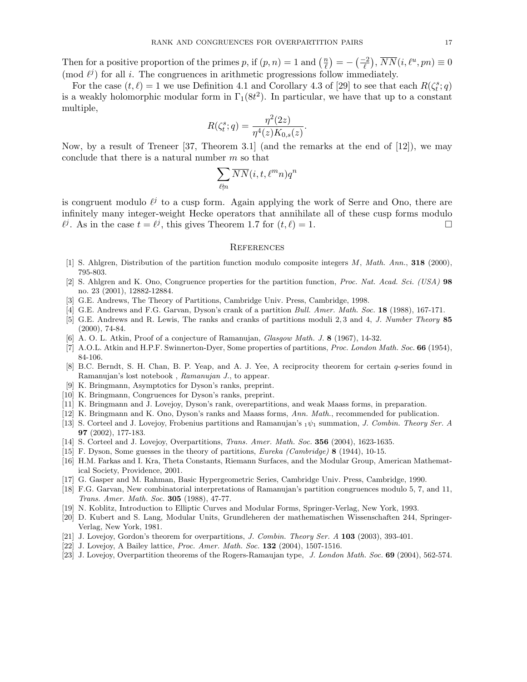Then for a positive proportion of the primes p, if  $(p, n) = 1$  and  $\left(\frac{n}{\ell}\right)$  $\left(\frac{m}{\ell}\right)=-\left(\frac{-2}{\ell}\right),\,\overline{NN}(i,\ell^u,pn)\equiv0$ (mod  $\ell^j$ ) for all i. The congruences in arithmetic progressions follow immediately.

For the case  $(t, \ell) = 1$  we use Definition 4.1 and Corollary 4.3 of [29] to see that each  $R(\zeta_t^s; q)$ is a weakly holomorphic modular form in  $\Gamma_1(8t^2)$ . In particular, we have that up to a constant multiple,

$$
R(\zeta_t^s; q) = \frac{\eta^2(2z)}{\eta^4(z)K_{0,s}(z)}.
$$

Now, by a result of Treneer [37, Theorem 3.1] (and the remarks at the end of [12]), we may conclude that there is a natural number  $m$  so that

$$
\sum_{\ell \nmid n} \overline{NN}(i,t,\ell^m n) q^n
$$

is congruent modulo  $\ell^j$  to a cusp form. Again applying the work of Serre and Ono, there are infinitely many integer-weight Hecke operators that annihilate all of these cusp forms modulo  $\ell^j$ . As in the case  $t = \ell^j$ , this gives Theorem 1.7 for  $(t, \ell) = 1$ .

#### **REFERENCES**

- [1] S. Ahlgren, Distribution of the partition function modulo composite integers M, Math. Ann., 318 (2000), 795-803.
- [2] S. Ahlgren and K. Ono, Congruence properties for the partition function, Proc. Nat. Acad. Sci. (USA) 98 no. 23 (2001), 12882-12884.
- [3] G.E. Andrews, The Theory of Partitions, Cambridge Univ. Press, Cambridge, 1998.
- [4] G.E. Andrews and F.G. Garvan, Dyson's crank of a partition *Bull. Amer. Math. Soc.* 18 (1988), 167-171.
- [5] G.E. Andrews and R. Lewis, The ranks and cranks of partitions moduli 2, 3 and 4, J. Number Theory 85 (2000), 74-84.
- [6] A. O. L. Atkin, Proof of a conjecture of Ramanujan, *Glasgow Math. J.* 8 (1967), 14-32.
- [7] A.O.L. Atkin and H.P.F. Swinnerton-Dyer, Some properties of partitions, *Proc. London Math. Soc.* 66 (1954), 84-106.
- [8] B.C. Berndt, S. H. Chan, B. P. Yeap, and A. J. Yee, A reciprocity theorem for certain q-series found in Ramanujan's lost notebook , Ramanujan J., to appear.
- [9] K. Bringmann, Asymptotics for Dyson's ranks, preprint.
- [10] K. Bringmann, Congruences for Dyson's ranks, preprint.
- [11] K. Bringmann and J. Lovejoy, Dyson's rank, overepartitions, and weak Maass forms, in preparation.
- [12] K. Bringmann and K. Ono, Dyson's ranks and Maass forms, Ann. Math., recommended for publication.
- [13] S. Corteel and J. Lovejoy, Frobenius partitions and Ramanujan's  $_1\psi_1$  summation, *J. Combin. Theory Ser. A* 97 (2002), 177-183.
- [14] S. Corteel and J. Lovejoy, Overpartitions, Trans. Amer. Math. Soc. 356 (2004), 1623-1635.
- [15] F. Dyson, Some guesses in the theory of partitions, Eureka (Cambridge) 8 (1944), 10-15.
- [16] H.M. Farkas and I. Kra, Theta Constants, Riemann Surfaces, and the Modular Group, American Mathematical Society, Providence, 2001.
- [17] G. Gasper and M. Rahman, Basic Hypergeometric Series, Cambridge Univ. Press, Cambridge, 1990.
- [18] F.G. Garvan, New combinatorial interpretations of Ramanujan's partition congruences modulo 5, 7, and 11, Trans. Amer. Math. Soc. 305 (1988), 47-77.
- [19] N. Koblitz, Introduction to Elliptic Curves and Modular Forms, Springer-Verlag, New York, 1993.
- [20] D. Kubert and S. Lang, Modular Units, Grundleheren der mathematischen Wissenschaften 244, Springer-Verlag, New York, 1981.
- [21] J. Lovejoy, Gordon's theorem for overpartitions, J. Combin. Theory Ser. A 103 (2003), 393-401.
- [22] J. Lovejoy, A Bailey lattice, Proc. Amer. Math. Soc. 132 (2004), 1507-1516.
- [23] J. Lovejoy, Overpartition theorems of the Rogers-Ramaujan type, J. London Math. Soc. 69 (2004), 562-574.